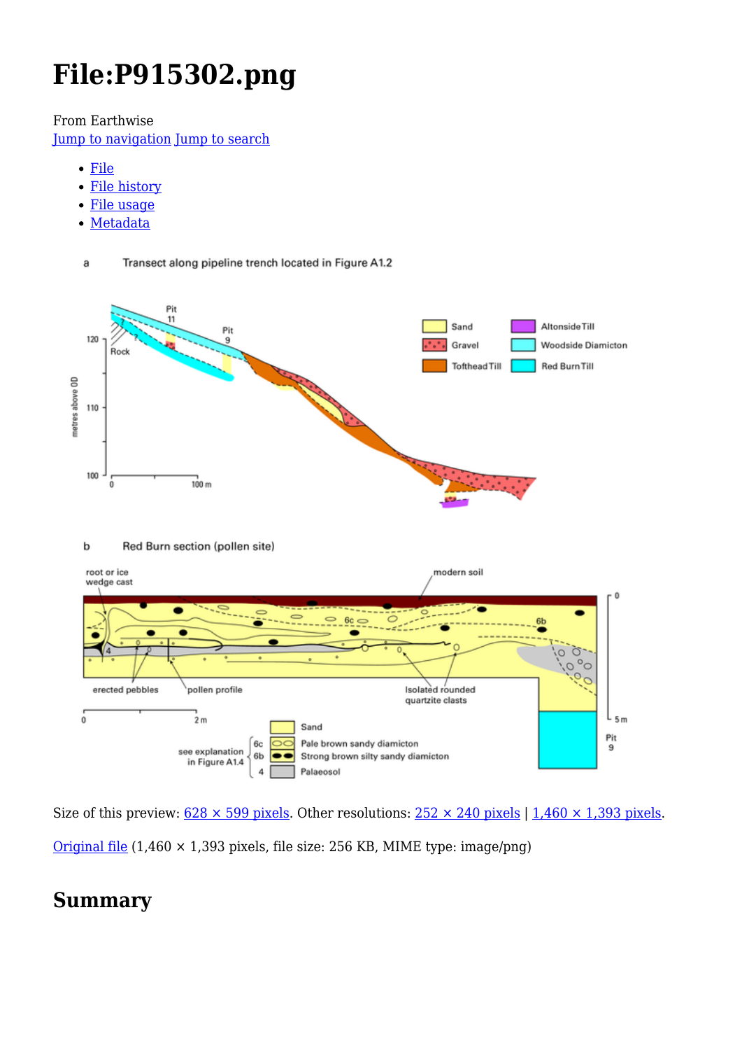# **File:P915302.png**

From Earthwise

[Jump to navigation](#page--1-0) [Jump to search](#page--1-0)

Transect along pipeline trench located in Figure A1.2

[File](#page--1-0)

a

- [File history](#page--1-0)
- [File usage](#page--1-0)
- [Metadata](#page--1-0)



Size of this preview:  $628 \times 599$  pixels. Other resolutions:  $252 \times 240$  pixels | 1,460  $\times$  1,393 pixels. [Original file](http://earthwise.bgs.ac.uk/images/c/ca/P915302.png) (1,460 × 1,393 pixels, file size: 256 KB, MIME type: image/png)

# **Summary**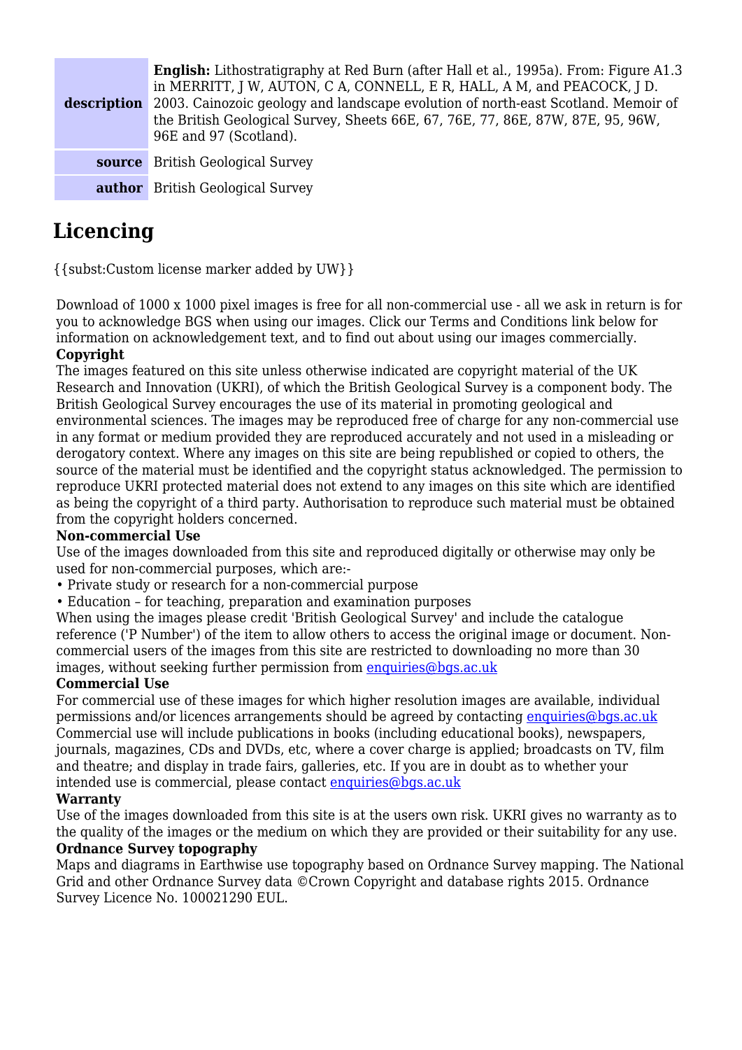| description | <b>English:</b> Lithostratigraphy at Red Burn (after Hall et al., 1995a). From: Figure A1.3<br>in MERRITT, J W, AUTON, C A, CONNELL, E R, HALL, A M, and PEACOCK, J D.<br>2003. Cainozoic geology and landscape evolution of north-east Scotland. Memoir of<br>the British Geological Survey, Sheets 66E, 67, 76E, 77, 86E, 87W, 87E, 95, 96W,<br>96E and 97 (Scotland). |
|-------------|--------------------------------------------------------------------------------------------------------------------------------------------------------------------------------------------------------------------------------------------------------------------------------------------------------------------------------------------------------------------------|
|             | <b>source</b> British Geological Survey                                                                                                                                                                                                                                                                                                                                  |
|             | <b>author</b> British Geological Survey                                                                                                                                                                                                                                                                                                                                  |

# **Licencing**

{{subst:Custom license marker added by UW}}

Download of 1000 x 1000 pixel images is free for all non-commercial use - all we ask in return is for you to acknowledge BGS when using our images. Click our Terms and Conditions link below for information on acknowledgement text, and to find out about using our images commercially. **Copyright**

The images featured on this site unless otherwise indicated are copyright material of the UK Research and Innovation (UKRI), of which the British Geological Survey is a component body. The British Geological Survey encourages the use of its material in promoting geological and environmental sciences. The images may be reproduced free of charge for any non-commercial use in any format or medium provided they are reproduced accurately and not used in a misleading or derogatory context. Where any images on this site are being republished or copied to others, the source of the material must be identified and the copyright status acknowledged. The permission to reproduce UKRI protected material does not extend to any images on this site which are identified as being the copyright of a third party. Authorisation to reproduce such material must be obtained from the copyright holders concerned.

#### **Non-commercial Use**

Use of the images downloaded from this site and reproduced digitally or otherwise may only be used for non-commercial purposes, which are:-

- Private study or research for a non-commercial purpose
- Education for teaching, preparation and examination purposes

When using the images please credit 'British Geological Survey' and include the catalogue reference ('P Number') of the item to allow others to access the original image or document. Noncommercial users of the images from this site are restricted to downloading no more than 30 images, without seeking further permission from [enquiries@bgs.ac.uk](mailto:enquiries@bgs.ac.uk)

#### **Commercial Use**

For commercial use of these images for which higher resolution images are available, individual permissions and/or licences arrangements should be agreed by contacting [enquiries@bgs.ac.uk](mailto:enquiries@bgs.ac.uk) Commercial use will include publications in books (including educational books), newspapers, journals, magazines, CDs and DVDs, etc, where a cover charge is applied; broadcasts on TV, film and theatre; and display in trade fairs, galleries, etc. If you are in doubt as to whether your intended use is commercial, please contact [enquiries@bgs.ac.uk](mailto:enquiries@bgs.ac.uk)

#### **Warranty**

Use of the images downloaded from this site is at the users own risk. UKRI gives no warranty as to the quality of the images or the medium on which they are provided or their suitability for any use.

#### **Ordnance Survey topography**

Maps and diagrams in Earthwise use topography based on Ordnance Survey mapping. The National Grid and other Ordnance Survey data ©Crown Copyright and database rights 2015. Ordnance Survey Licence No. 100021290 EUL.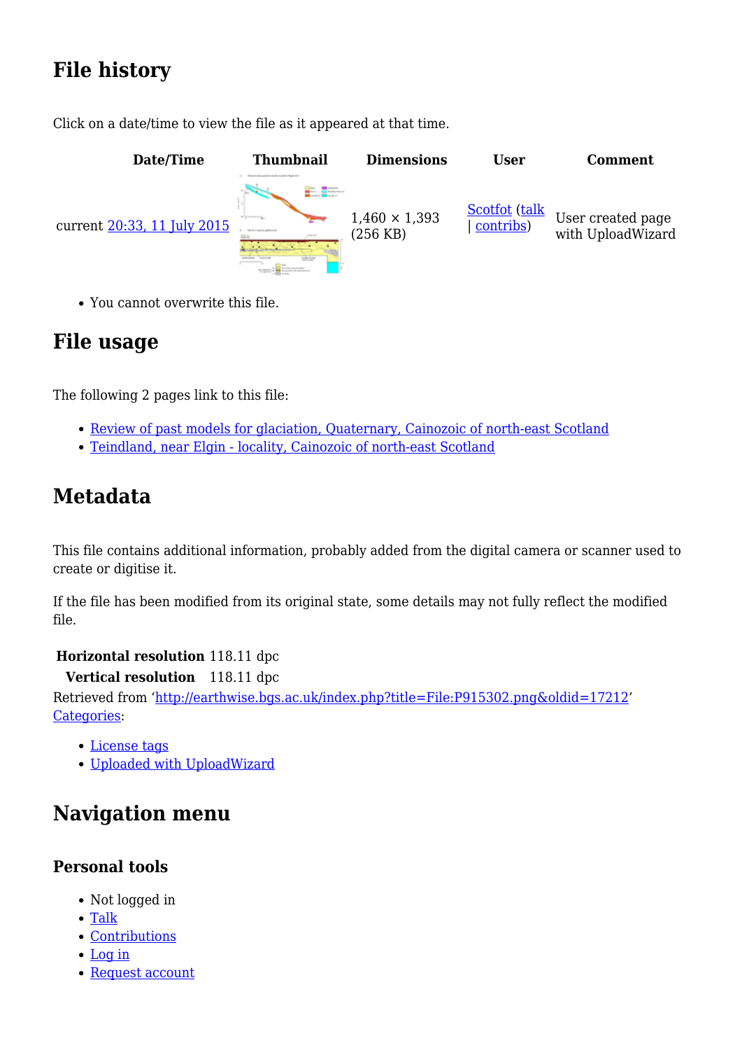# **File history**

Click on a date/time to view the file as it appeared at that time.



You cannot overwrite this file.

# **File usage**

The following 2 pages link to this file:

- [Review of past models for glaciation, Quaternary, Cainozoic of north-east Scotland](http://earthwise.bgs.ac.uk/index.php/Review_of_past_models_for_glaciation,_Quaternary,_Cainozoic_of_north-east_Scotland)
- [Teindland, near Elgin locality, Cainozoic of north-east Scotland](http://earthwise.bgs.ac.uk/index.php/Teindland,_near_Elgin_-_locality,_Cainozoic_of_north-east_Scotland)

# **Metadata**

This file contains additional information, probably added from the digital camera or scanner used to create or digitise it.

If the file has been modified from its original state, some details may not fully reflect the modified file.

#### **Horizontal resolution** 118.11 dpc

**Vertical resolution** 118.11 dpc

Retrieved from ['http://earthwise.bgs.ac.uk/index.php?title=File:P915302.png&oldid=17212'](http://earthwise.bgs.ac.uk/index.php?title=File:P915302.png&oldid=17212) [Categories:](http://earthwise.bgs.ac.uk/index.php/Special:Categories)

- [License tags](http://earthwise.bgs.ac.uk/index.php/Category:License_tags)
- [Uploaded with UploadWizard](http://earthwise.bgs.ac.uk/index.php/Category:Uploaded_with_UploadWizard)

# **Navigation menu**

### **Personal tools**

- Not logged in
- [Talk](http://earthwise.bgs.ac.uk/index.php/Special:MyTalk)
- [Contributions](http://earthwise.bgs.ac.uk/index.php/Special:MyContributions)
- [Log in](http://earthwise.bgs.ac.uk/index.php?title=Special:UserLogin&returnto=File%3AP915302.png&returntoquery=action%3Dmpdf)
- [Request account](http://earthwise.bgs.ac.uk/index.php/Special:RequestAccount)